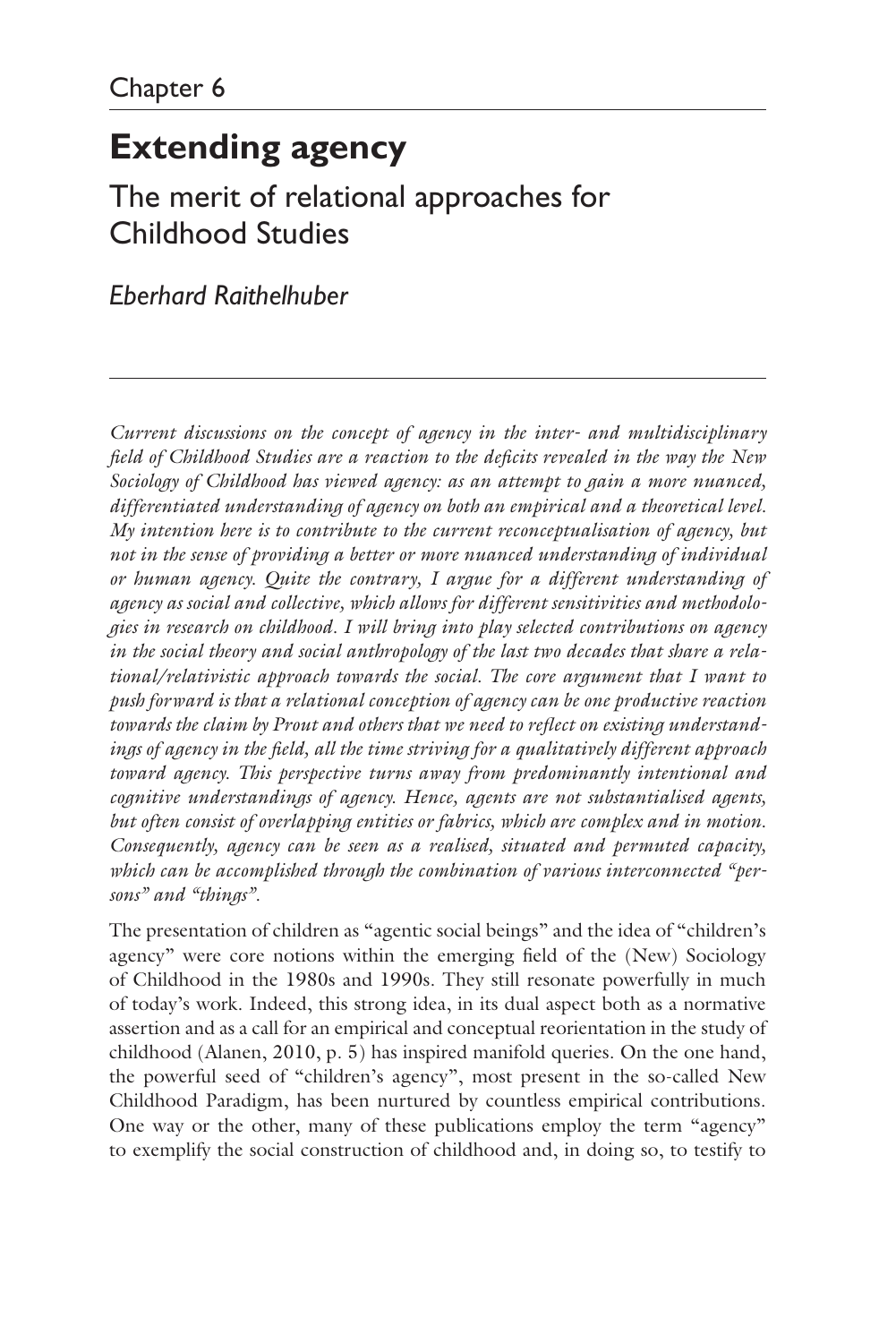# **Extending agency**

## The merit of relational approaches for Childhood Studies

### *Eberhard Raithelhuber*

*Current discussions on the concept of agency in the inter- and multidisciplinary field of Childhood Studies are a reaction to the deficits revealed in the way the New Sociology of Childhood has viewed agency: as an attempt to gain a more nuanced, differentiated understanding of agency on both an empirical and a theoretical level. My intention here is to contribute to the current reconceptualisation of agency, but not in the sense of providing a better or more nuanced understanding of individual or human agency. Quite the contrary, I argue for a different understanding of agency as social and collective, which allows for different sensitivities and methodologies in research on childhood. I will bring into play selected contributions on agency in the social theory and social anthropology of the last two decades that share a relational/relativistic approach towards the social. The core argument that I want to push forward is that a relational conception of agency can be one productive reaction towards the claim by Prout and others that we need to reflect on existing understandings of agency in the field, all the time striving for a qualitatively different approach toward agency. This perspective turns away from predominantly intentional and cognitive understandings of agency. Hence, agents are not substantialised agents, but often consist of overlapping entities or fabrics, which are complex and in motion. Consequently, agency can be seen as a realised, situated and permuted capacity, which can be accomplished through the combination of various interconnected "persons" and "things".*

The presentation of children as "agentic social beings" and the idea of "children's agency" were core notions within the emerging field of the (New) Sociology of Childhood in the 1980s and 1990s. They still resonate powerfully in much of today's work. Indeed, this strong idea, in its dual aspect both as a normative assertion and as a call for an empirical and conceptual reorientation in the study of childhood (Alanen, 2010, p. 5) has inspired manifold queries. On the one hand, the powerful seed of "children's agency", most present in the so-called New Childhood Paradigm, has been nurtured by countless empirical contributions. One way or the other, many of these publications employ the term "agency" to exemplify the social construction of childhood and, in doing so, to testify to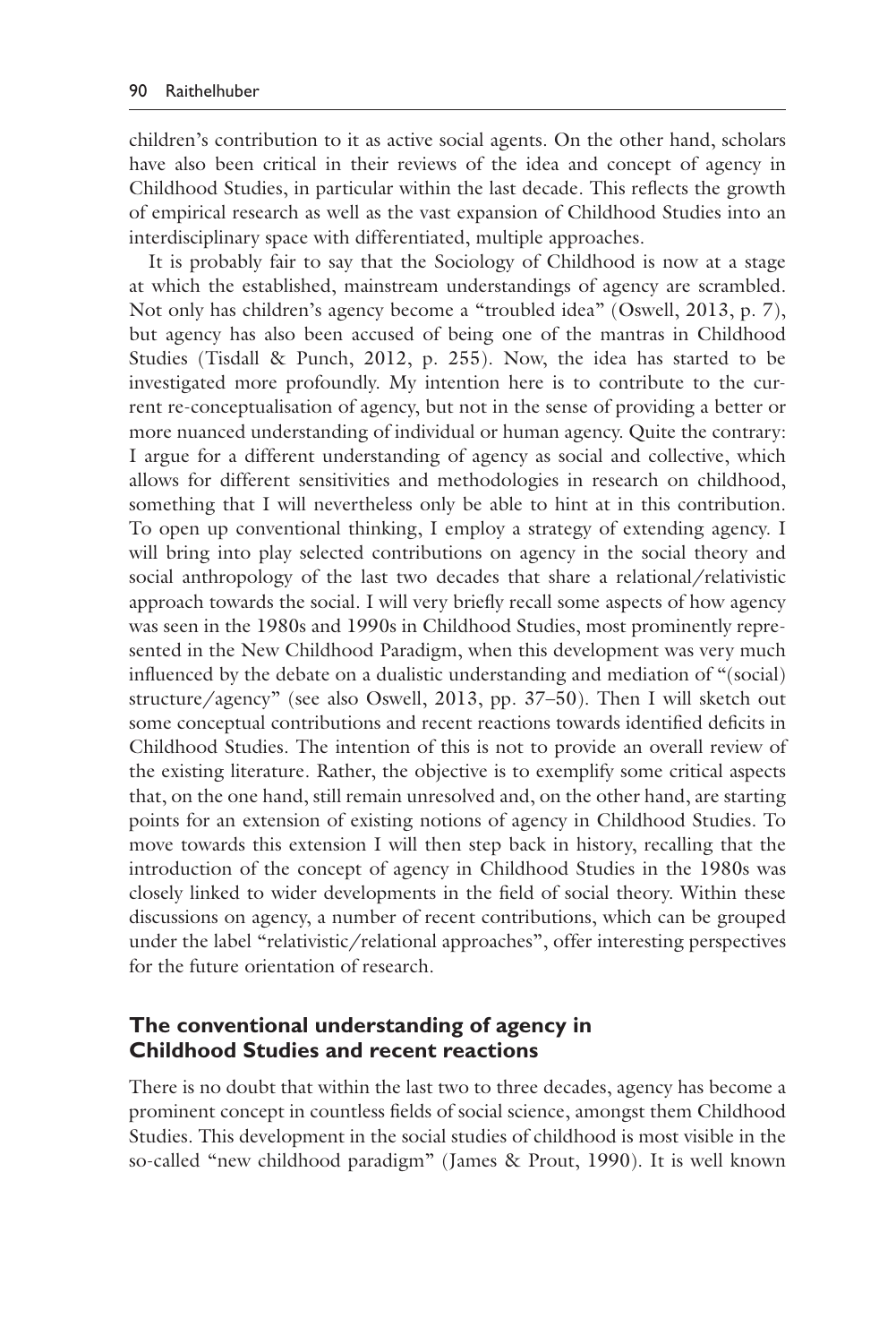children's contribution to it as active social agents. On the other hand, scholars have also been critical in their reviews of the idea and concept of agency in Childhood Studies, in particular within the last decade. This reflects the growth of empirical research as well as the vast expansion of Childhood Studies into an interdisciplinary space with differentiated, multiple approaches.

It is probably fair to say that the Sociology of Childhood is now at a stage at which the established, mainstream understandings of agency are scrambled. Not only has children's agency become a "troubled idea" (Oswell, 2013, p. 7), but agency has also been accused of being one of the mantras in Childhood Studies (Tisdall & Punch, 2012, p. 255). Now, the idea has started to be investigated more profoundly. My intention here is to contribute to the current re-conceptualisation of agency, but not in the sense of providing a better or more nuanced understanding of individual or human agency. Quite the contrary: I argue for a different understanding of agency as social and collective, which allows for different sensitivities and methodologies in research on childhood, something that I will nevertheless only be able to hint at in this contribution. To open up conventional thinking, I employ a strategy of extending agency. I will bring into play selected contributions on agency in the social theory and social anthropology of the last two decades that share a relational/relativistic approach towards the social. I will very briefly recall some aspects of how agency was seen in the 1980s and 1990s in Childhood Studies, most prominently represented in the New Childhood Paradigm, when this development was very much influenced by the debate on a dualistic understanding and mediation of "(social) structure/agency" (see also Oswell, 2013, pp. 37–50). Then I will sketch out some conceptual contributions and recent reactions towards identified deficits in Childhood Studies. The intention of this is not to provide an overall review of the existing literature. Rather, the objective is to exemplify some critical aspects that, on the one hand, still remain unresolved and, on the other hand, are starting points for an extension of existing notions of agency in Childhood Studies. To move towards this extension I will then step back in history, recalling that the introduction of the concept of agency in Childhood Studies in the 1980s was closely linked to wider developments in the field of social theory. Within these discussions on agency, a number of recent contributions, which can be grouped under the label "relativistic/relational approaches", offer interesting perspectives for the future orientation of research.

#### **The conventional understanding of agency in Childhood Studies and recent reactions**

There is no doubt that within the last two to three decades, agency has become a prominent concept in countless fields of social science, amongst them Childhood Studies. This development in the social studies of childhood is most visible in the so-called "new childhood paradigm" (James & Prout, 1990). It is well known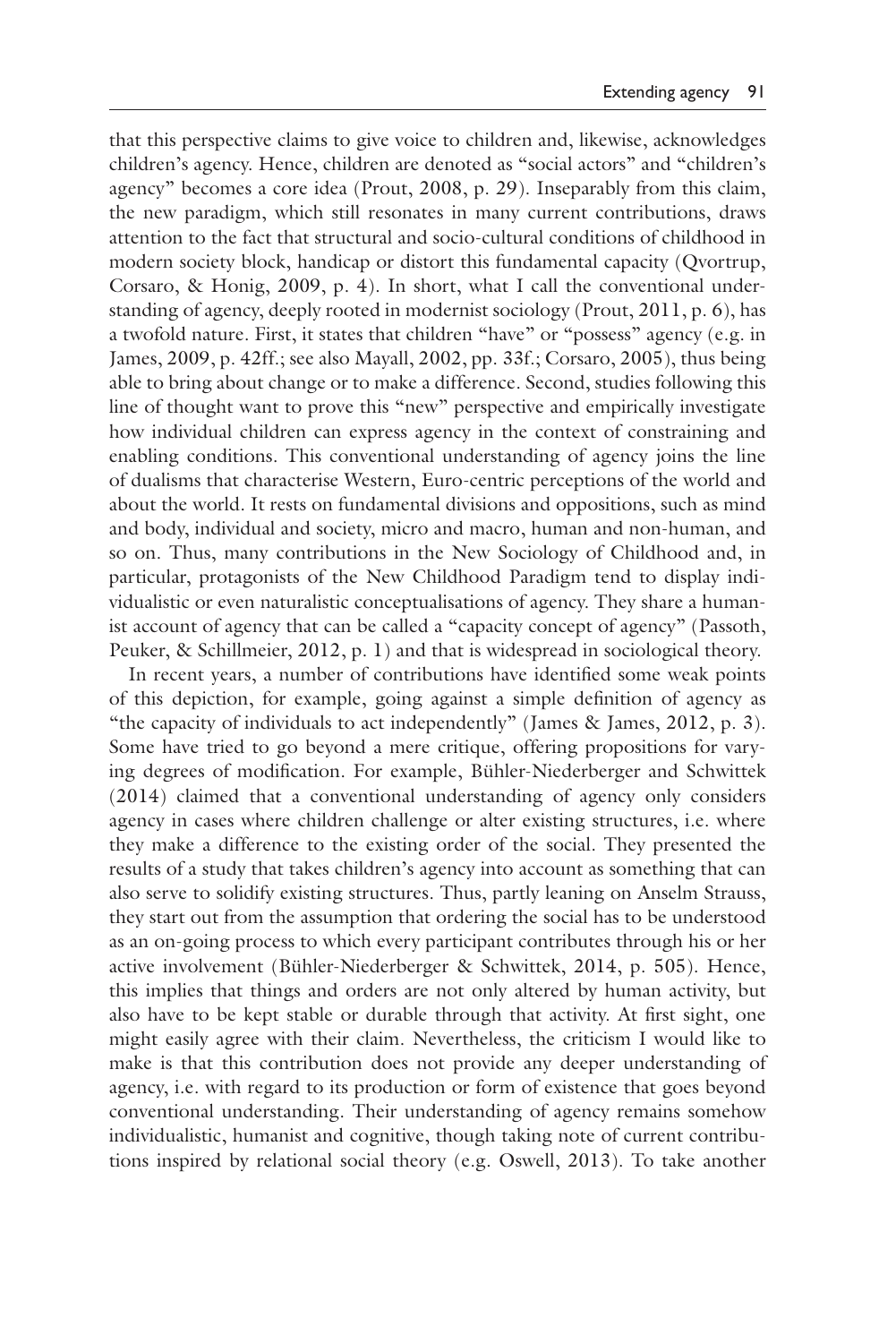that this perspective claims to give voice to children and, likewise, acknowledges children's agency. Hence, children are denoted as "social actors" and "children's agency" becomes a core idea (Prout, 2008, p. 29). Inseparably from this claim, the new paradigm, which still resonates in many current contributions, draws attention to the fact that structural and socio-cultural conditions of childhood in modern society block, handicap or distort this fundamental capacity (Qvortrup, Corsaro, & Honig, 2009, p. 4). In short, what I call the conventional understanding of agency, deeply rooted in modernist sociology (Prout, 2011, p. 6), has a twofold nature. First, it states that children "have" or "possess" agency (e.g. in James, 2009, p. 42ff.; see also Mayall, 2002, pp. 33f.; Corsaro, 2005), thus being able to bring about change or to make a difference. Second, studies following this line of thought want to prove this "new" perspective and empirically investigate how individual children can express agency in the context of constraining and enabling conditions. This conventional understanding of agency joins the line of dualisms that characterise Western, Euro-centric perceptions of the world and about the world. It rests on fundamental divisions and oppositions, such as mind and body, individual and society, micro and macro, human and non-human, and so on. Thus, many contributions in the New Sociology of Childhood and, in particular, protagonists of the New Childhood Paradigm tend to display individualistic or even naturalistic conceptualisations of agency. They share a humanist account of agency that can be called a "capacity concept of agency" (Passoth, Peuker, & Schillmeier, 2012, p. 1) and that is widespread in sociological theory.

In recent years, a number of contributions have identified some weak points of this depiction, for example, going against a simple definition of agency as "the capacity of individuals to act independently" (James & James, 2012, p. 3). Some have tried to go beyond a mere critique, offering propositions for varying degrees of modification. For example, Bühler-Niederberger and Schwittek (2014) claimed that a conventional understanding of agency only considers agency in cases where children challenge or alter existing structures, i.e. where they make a difference to the existing order of the social. They presented the results of a study that takes children's agency into account as something that can also serve to solidify existing structures. Thus, partly leaning on Anselm Strauss, they start out from the assumption that ordering the social has to be understood as an on-going process to which every participant contributes through his or her active involvement (Bühler-Niederberger & Schwittek, 2014, p. 505). Hence, this implies that things and orders are not only altered by human activity, but also have to be kept stable or durable through that activity. At first sight, one might easily agree with their claim. Nevertheless, the criticism I would like to make is that this contribution does not provide any deeper understanding of agency, i.e. with regard to its production or form of existence that goes beyond conventional understanding. Their understanding of agency remains somehow individualistic, humanist and cognitive, though taking note of current contributions inspired by relational social theory (e.g. Oswell, 2013). To take another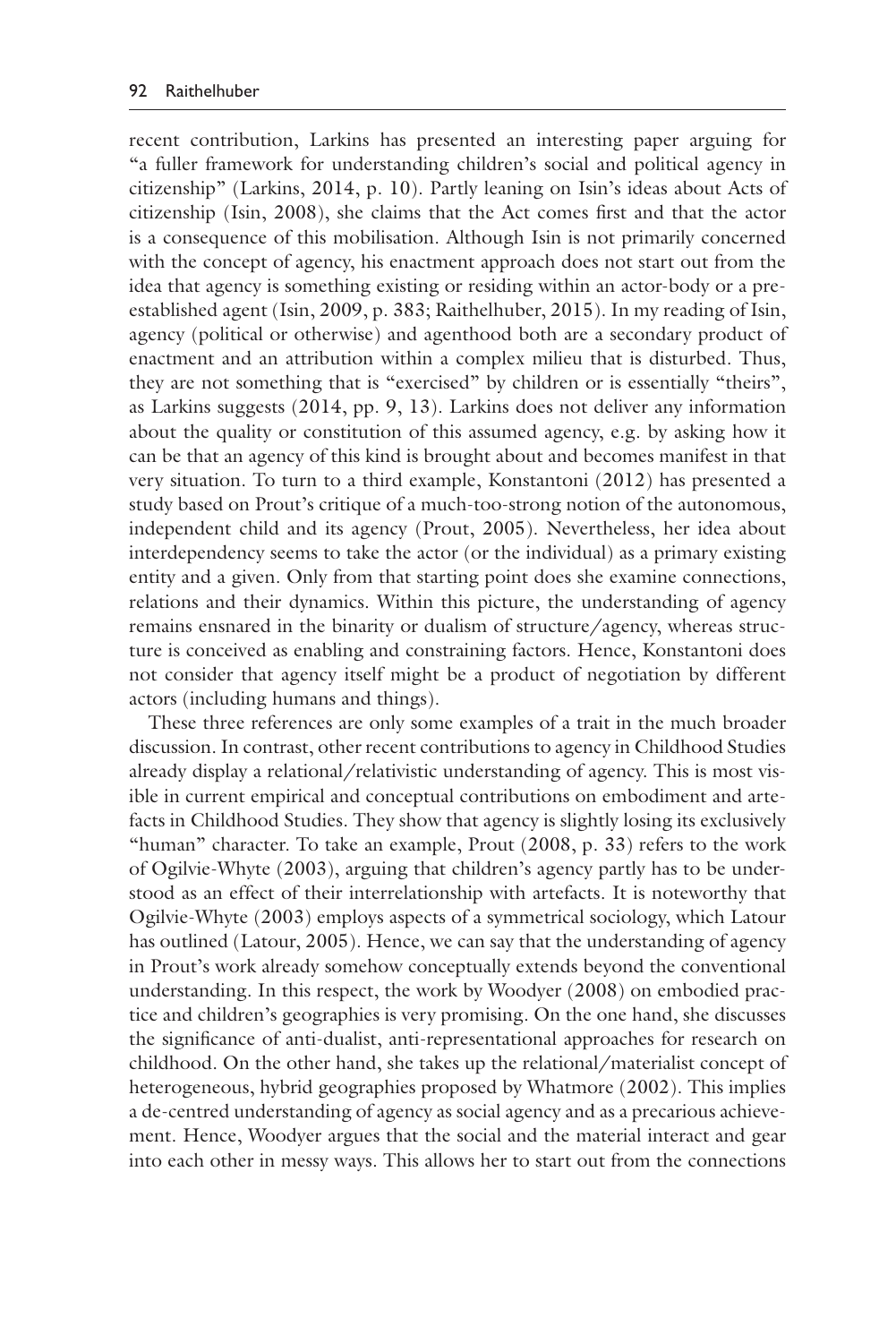recent contribution, Larkins has presented an interesting paper arguing for "a fuller framework for understanding children's social and political agency in citizenship" (Larkins, 2014, p. 10). Partly leaning on Isin's ideas about Acts of citizenship (Isin, 2008), she claims that the Act comes first and that the actor is a consequence of this mobilisation. Although Isin is not primarily concerned with the concept of agency, his enactment approach does not start out from the idea that agency is something existing or residing within an actor-body or a preestablished agent (Isin, 2009, p. 383; Raithelhuber, 2015). In my reading of Isin, agency (political or otherwise) and agenthood both are a secondary product of enactment and an attribution within a complex milieu that is disturbed. Thus, they are not something that is "exercised" by children or is essentially "theirs", as Larkins suggests (2014, pp. 9, 13). Larkins does not deliver any information about the quality or constitution of this assumed agency, e.g. by asking how it can be that an agency of this kind is brought about and becomes manifest in that very situation. To turn to a third example, Konstantoni (2012) has presented a study based on Prout's critique of a much-too-strong notion of the autonomous, independent child and its agency (Prout, 2005). Nevertheless, her idea about interdependency seems to take the actor (or the individual) as a primary existing entity and a given. Only from that starting point does she examine connections, relations and their dynamics. Within this picture, the understanding of agency remains ensnared in the binarity or dualism of structure/agency, whereas structure is conceived as enabling and constraining factors. Hence, Konstantoni does not consider that agency itself might be a product of negotiation by different actors (including humans and things).

These three references are only some examples of a trait in the much broader discussion. In contrast, other recent contributions to agency in Childhood Studies already display a relational/relativistic understanding of agency. This is most visible in current empirical and conceptual contributions on embodiment and artefacts in Childhood Studies. They show that agency is slightly losing its exclusively "human" character. To take an example, Prout (2008, p. 33) refers to the work of Ogilvie-Whyte (2003), arguing that children's agency partly has to be understood as an effect of their interrelationship with artefacts. It is noteworthy that Ogilvie-Whyte (2003) employs aspects of a symmetrical sociology, which Latour has outlined (Latour, 2005). Hence, we can say that the understanding of agency in Prout's work already somehow conceptually extends beyond the conventional understanding. In this respect, the work by Woodyer (2008) on embodied practice and children's geographies is very promising. On the one hand, she discusses the significance of anti-dualist, anti-representational approaches for research on childhood. On the other hand, she takes up the relational/materialist concept of heterogeneous, hybrid geographies proposed by Whatmore (2002). This implies a de-centred understanding of agency as social agency and as a precarious achievement. Hence, Woodyer argues that the social and the material interact and gear into each other in messy ways. This allows her to start out from the connections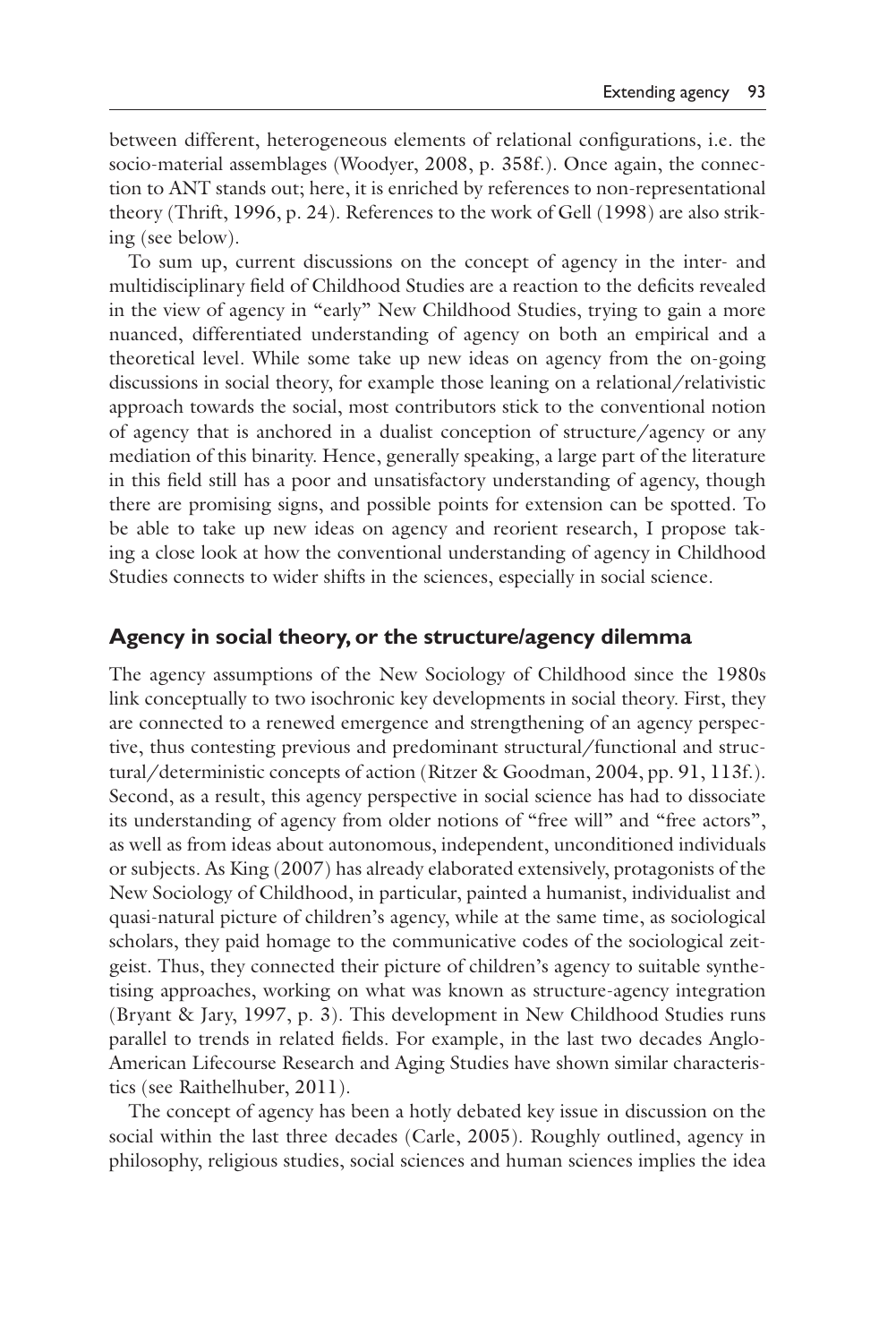between different, heterogeneous elements of relational configurations, i.e. the socio-material assemblages (Woodyer, 2008, p. 358f.). Once again, the connection to ANT stands out; here, it is enriched by references to non-representational theory (Thrift, 1996, p. 24). References to the work of Gell (1998) are also striking (see below).

To sum up, current discussions on the concept of agency in the inter- and multidisciplinary field of Childhood Studies are a reaction to the deficits revealed in the view of agency in "early" New Childhood Studies, trying to gain a more nuanced, differentiated understanding of agency on both an empirical and a theoretical level. While some take up new ideas on agency from the on-going discussions in social theory, for example those leaning on a relational/relativistic approach towards the social, most contributors stick to the conventional notion of agency that is anchored in a dualist conception of structure/agency or any mediation of this binarity. Hence, generally speaking, a large part of the literature in this field still has a poor and unsatisfactory understanding of agency, though there are promising signs, and possible points for extension can be spotted. To be able to take up new ideas on agency and reorient research, I propose taking a close look at how the conventional understanding of agency in Childhood Studies connects to wider shifts in the sciences, especially in social science.

#### **Agency in social theory, or the structure/agency dilemma**

The agency assumptions of the New Sociology of Childhood since the 1980s link conceptually to two isochronic key developments in social theory. First, they are connected to a renewed emergence and strengthening of an agency perspective, thus contesting previous and predominant structural/functional and structural/deterministic concepts of action (Ritzer & Goodman, 2004, pp. 91, 113f.). Second, as a result, this agency perspective in social science has had to dissociate its understanding of agency from older notions of "free will" and "free actors", as well as from ideas about autonomous, independent, unconditioned individuals or subjects. As King (2007) has already elaborated extensively, protagonists of the New Sociology of Childhood, in particular, painted a humanist, individualist and quasi-natural picture of children's agency, while at the same time, as sociological scholars, they paid homage to the communicative codes of the sociological zeitgeist. Thus, they connected their picture of children's agency to suitable synthetising approaches, working on what was known as structure-agency integration (Bryant & Jary, 1997, p. 3). This development in New Childhood Studies runs parallel to trends in related fields. For example, in the last two decades Anglo-American Lifecourse Research and Aging Studies have shown similar characteristics (see Raithelhuber, 2011).

The concept of agency has been a hotly debated key issue in discussion on the social within the last three decades (Carle, 2005). Roughly outlined, agency in philosophy, religious studies, social sciences and human sciences implies the idea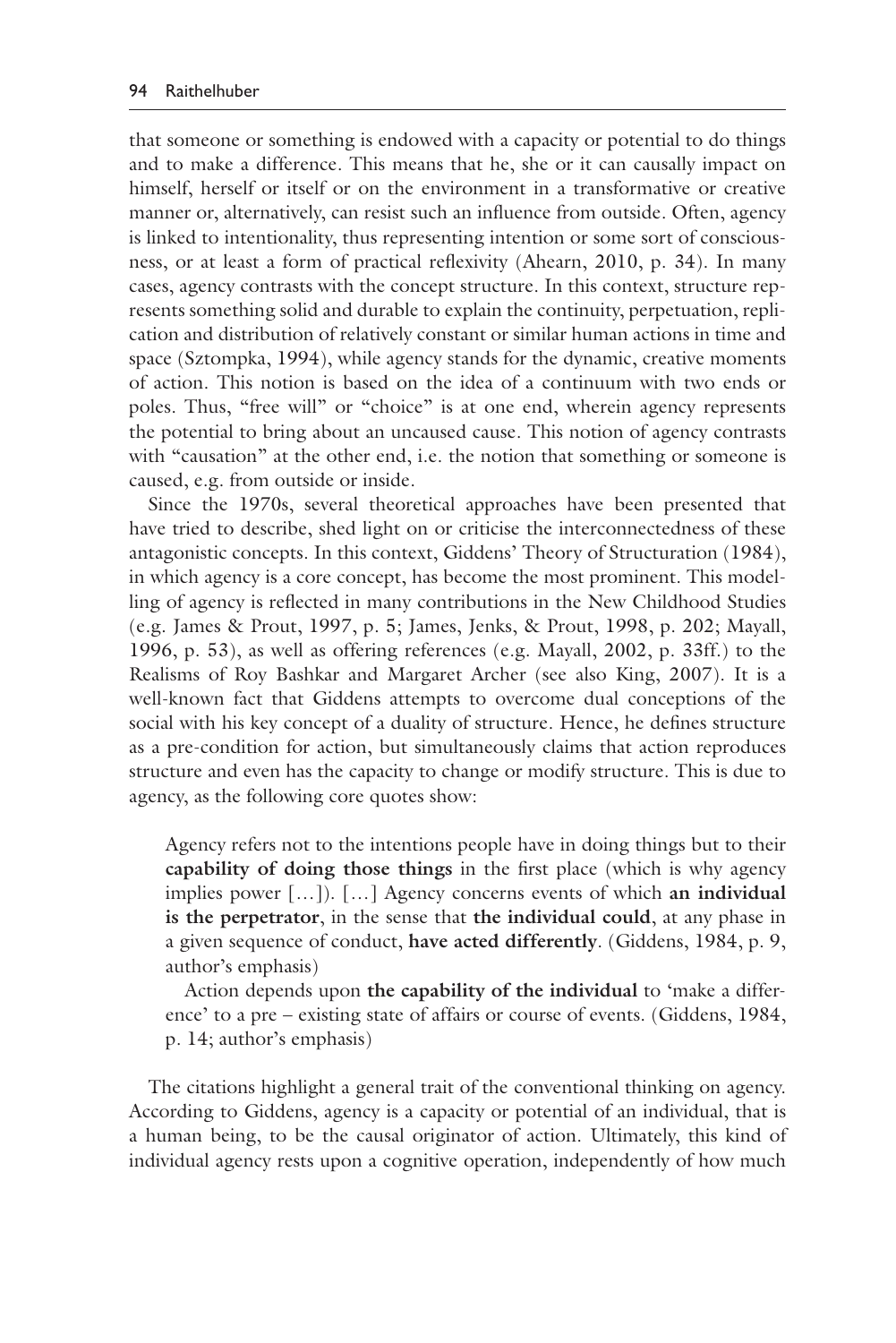that someone or something is endowed with a capacity or potential to do things and to make a difference. This means that he, she or it can causally impact on himself, herself or itself or on the environment in a transformative or creative manner or, alternatively, can resist such an influence from outside. Often, agency is linked to intentionality, thus representing intention or some sort of consciousness, or at least a form of practical reflexivity (Ahearn, 2010, p. 34). In many cases, agency contrasts with the concept structure. In this context, structure represents something solid and durable to explain the continuity, perpetuation, replication and distribution of relatively constant or similar human actions in time and space (Sztompka, 1994), while agency stands for the dynamic, creative moments of action. This notion is based on the idea of a continuum with two ends or poles. Thus, "free will" or "choice" is at one end, wherein agency represents the potential to bring about an uncaused cause. This notion of agency contrasts with "causation" at the other end, i.e. the notion that something or someone is caused, e.g. from outside or inside.

Since the 1970s, several theoretical approaches have been presented that have tried to describe, shed light on or criticise the interconnectedness of these antagonistic concepts. In this context, Giddens' Theory of Structuration (1984), in which agency is a core concept, has become the most prominent. This modelling of agency is reflected in many contributions in the New Childhood Studies (e.g. James & Prout, 1997, p. 5; James, Jenks, & Prout, 1998, p. 202; Mayall, 1996, p. 53), as well as offering references (e.g. Mayall, 2002, p. 33ff.) to the Realisms of Roy Bashkar and Margaret Archer (see also King, 2007). It is a well-known fact that Giddens attempts to overcome dual conceptions of the social with his key concept of a duality of structure. Hence, he defines structure as a pre-condition for action, but simultaneously claims that action reproduces structure and even has the capacity to change or modify structure. This is due to agency, as the following core quotes show:

Agency refers not to the intentions people have in doing things but to their **capability of doing those things** in the first place (which is why agency implies power […]). […] Agency concerns events of which **an individual is the perpetrator**, in the sense that **the individual could**, at any phase in a given sequence of conduct, **have acted differently**. (Giddens, 1984, p. 9, author's emphasis)

Action depends upon **the capability of the individual** to 'make a difference' to a pre – existing state of affairs or course of events. (Giddens, 1984, p. 14; author's emphasis)

The citations highlight a general trait of the conventional thinking on agency. According to Giddens, agency is a capacity or potential of an individual, that is a human being, to be the causal originator of action. Ultimately, this kind of individual agency rests upon a cognitive operation, independently of how much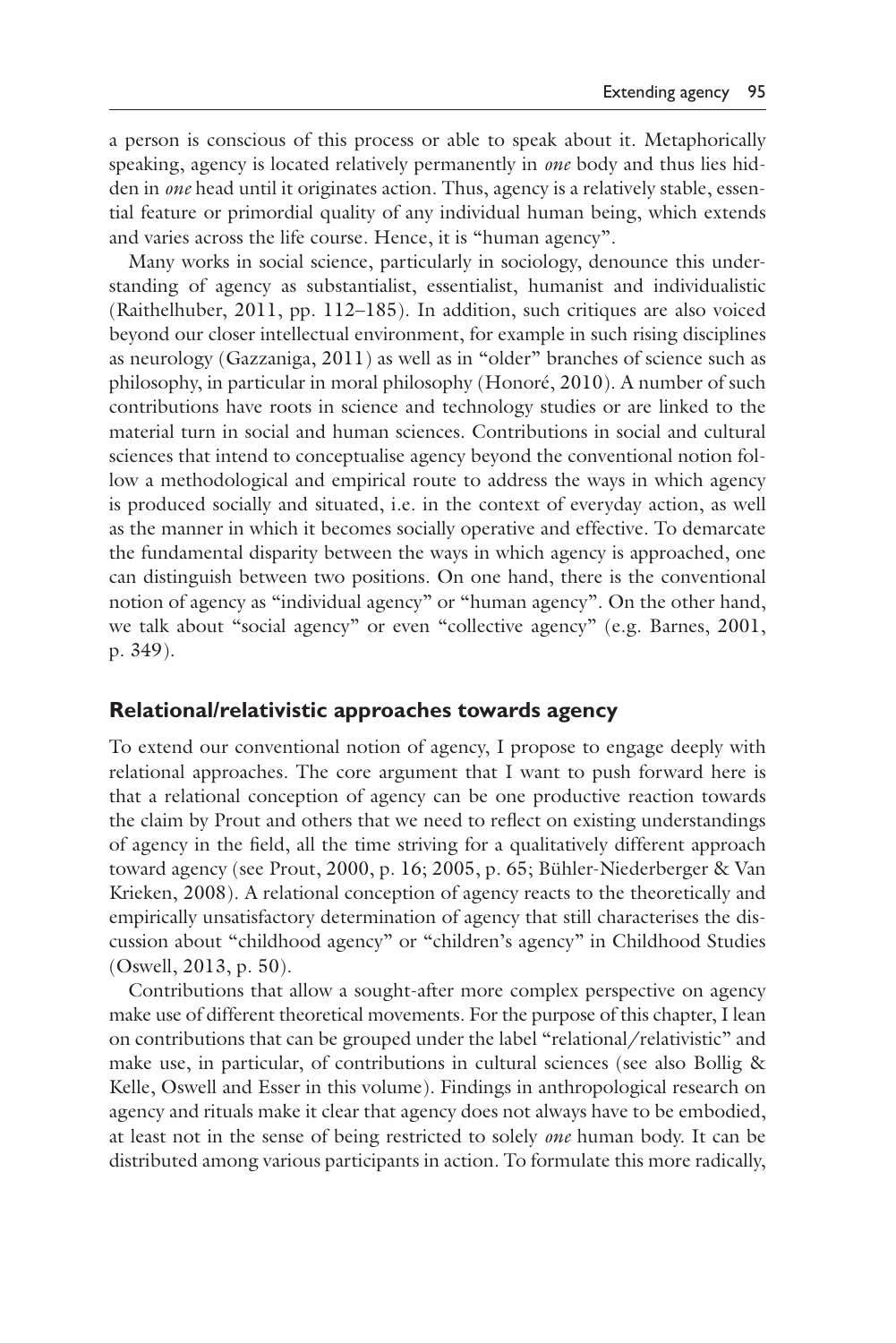a person is conscious of this process or able to speak about it. Metaphorically speaking, agency is located relatively permanently in *one* body and thus lies hidden in *one* head until it originates action. Thus, agency is a relatively stable, essential feature or primordial quality of any individual human being, which extends and varies across the life course. Hence, it is "human agency".

Many works in social science, particularly in sociology, denounce this understanding of agency as substantialist, essentialist, humanist and individualistic (Raithelhuber, 2011, pp. 112–185). In addition, such critiques are also voiced beyond our closer intellectual environment, for example in such rising disciplines as neurology (Gazzaniga, 2011) as well as in "older" branches of science such as philosophy, in particular in moral philosophy (Honoré, 2010). A number of such contributions have roots in science and technology studies or are linked to the material turn in social and human sciences. Contributions in social and cultural sciences that intend to conceptualise agency beyond the conventional notion follow a methodological and empirical route to address the ways in which agency is produced socially and situated, i.e. in the context of everyday action, as well as the manner in which it becomes socially operative and effective. To demarcate the fundamental disparity between the ways in which agency is approached, one can distinguish between two positions. On one hand, there is the conventional notion of agency as "individual agency" or "human agency". On the other hand, we talk about "social agency" or even "collective agency" (e.g. Barnes, 2001, p. 349).

#### **Relational/relativistic approaches towards agency**

To extend our conventional notion of agency, I propose to engage deeply with relational approaches. The core argument that I want to push forward here is that a relational conception of agency can be one productive reaction towards the claim by Prout and others that we need to reflect on existing understandings of agency in the field, all the time striving for a qualitatively different approach toward agency (see Prout, 2000, p. 16; 2005, p. 65; Bühler-Niederberger & Van Krieken, 2008). A relational conception of agency reacts to the theoretically and empirically unsatisfactory determination of agency that still characterises the discussion about "childhood agency" or "children's agency" in Childhood Studies (Oswell, 2013, p. 50).

Contributions that allow a sought-after more complex perspective on agency make use of different theoretical movements. For the purpose of this chapter, I lean on contributions that can be grouped under the label "relational/relativistic" and make use, in particular, of contributions in cultural sciences (see also Bollig & Kelle, Oswell and Esser in this volume). Findings in anthropological research on agency and rituals make it clear that agency does not always have to be embodied, at least not in the sense of being restricted to solely *one* human body. It can be distributed among various participants in action. To formulate this more radically,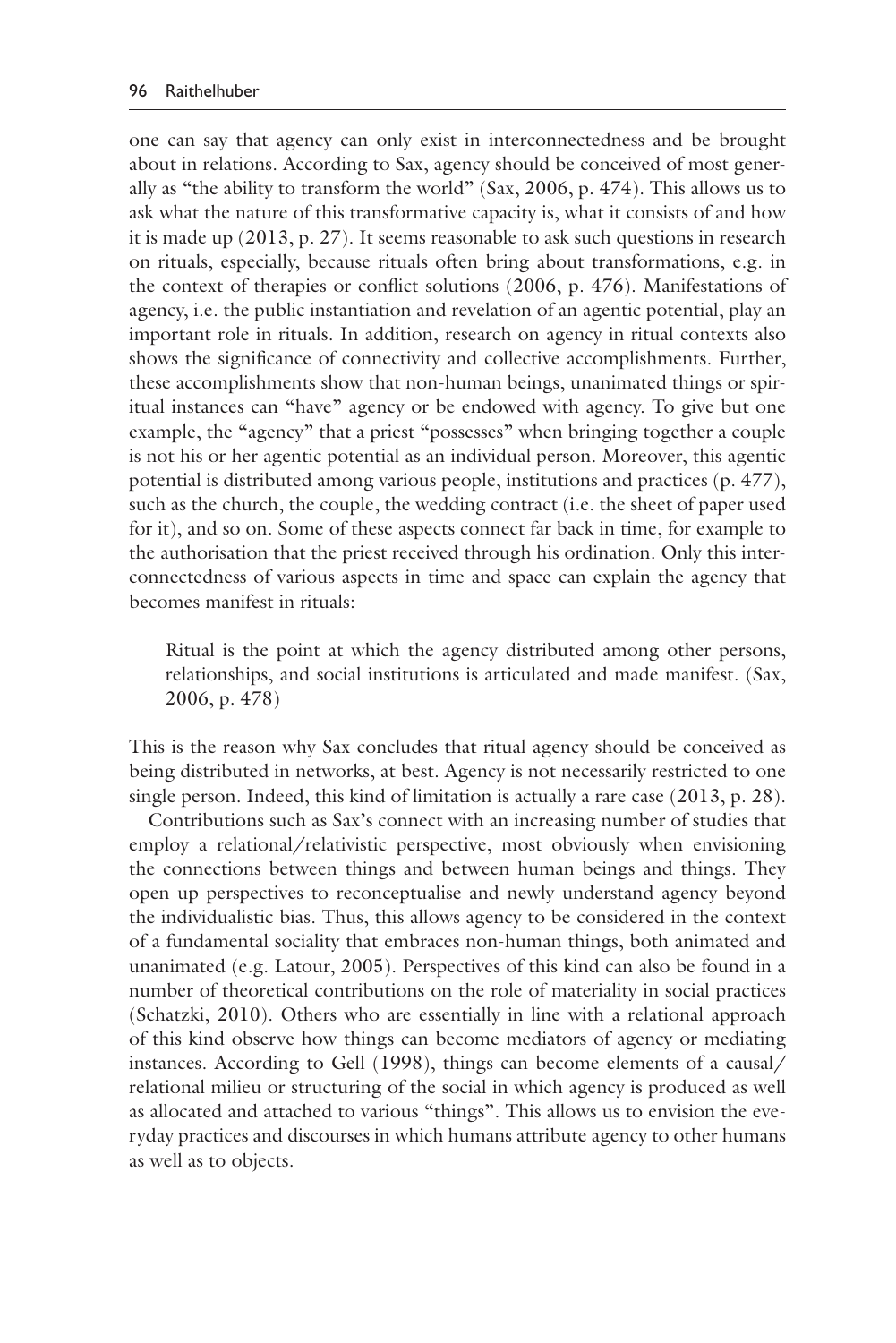one can say that agency can only exist in interconnectedness and be brought about in relations. According to Sax, agency should be conceived of most generally as "the ability to transform the world" (Sax, 2006, p. 474). This allows us to ask what the nature of this transformative capacity is, what it consists of and how it is made up (2013, p. 27). It seems reasonable to ask such questions in research on rituals, especially, because rituals often bring about transformations, e.g. in the context of therapies or conflict solutions (2006, p. 476). Manifestations of agency, i.e. the public instantiation and revelation of an agentic potential, play an important role in rituals. In addition, research on agency in ritual contexts also shows the significance of connectivity and collective accomplishments. Further, these accomplishments show that non-human beings, unanimated things or spiritual instances can "have" agency or be endowed with agency. To give but one example, the "agency" that a priest "possesses" when bringing together a couple is not his or her agentic potential as an individual person. Moreover, this agentic potential is distributed among various people, institutions and practices (p. 477), such as the church, the couple, the wedding contract (i.e. the sheet of paper used for it), and so on. Some of these aspects connect far back in time, for example to the authorisation that the priest received through his ordination. Only this interconnectedness of various aspects in time and space can explain the agency that becomes manifest in rituals:

Ritual is the point at which the agency distributed among other persons, relationships, and social institutions is articulated and made manifest. (Sax, 2006, p. 478)

This is the reason why Sax concludes that ritual agency should be conceived as being distributed in networks, at best. Agency is not necessarily restricted to one single person. Indeed, this kind of limitation is actually a rare case (2013, p. 28).

Contributions such as Sax's connect with an increasing number of studies that employ a relational/relativistic perspective, most obviously when envisioning the connections between things and between human beings and things. They open up perspectives to reconceptualise and newly understand agency beyond the individualistic bias. Thus, this allows agency to be considered in the context of a fundamental sociality that embraces non-human things, both animated and unanimated (e.g. Latour, 2005). Perspectives of this kind can also be found in a number of theoretical contributions on the role of materiality in social practices (Schatzki, 2010). Others who are essentially in line with a relational approach of this kind observe how things can become mediators of agency or mediating instances. According to Gell (1998), things can become elements of a causal/ relational milieu or structuring of the social in which agency is produced as well as allocated and attached to various "things". This allows us to envision the everyday practices and discourses in which humans attribute agency to other humans as well as to objects.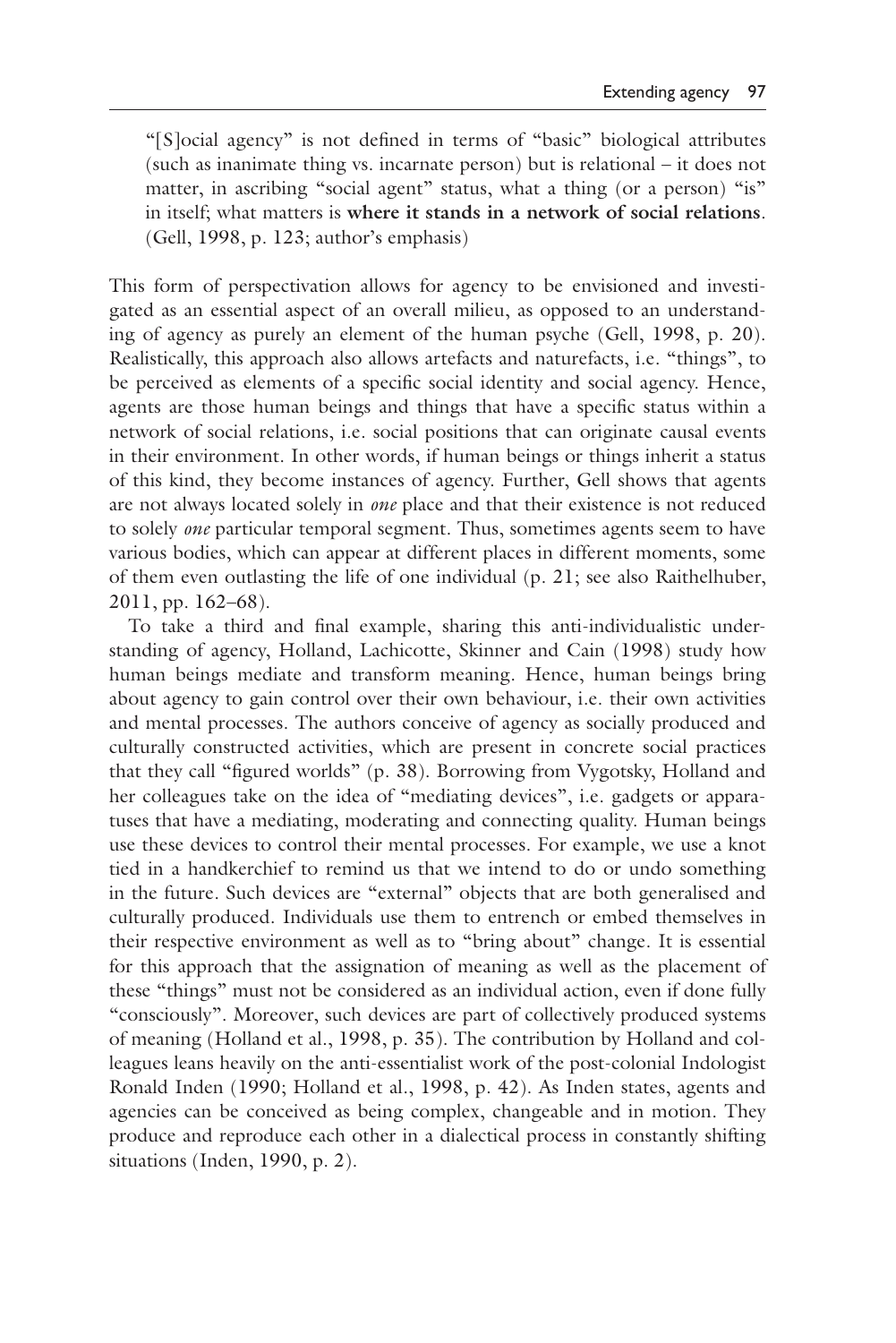"[S]ocial agency" is not defined in terms of "basic" biological attributes (such as inanimate thing vs. incarnate person) but is relational – it does not matter, in ascribing "social agent" status, what a thing (or a person) "is" in itself; what matters is **where it stands in a network of social relations**. (Gell, 1998, p. 123; author's emphasis)

This form of perspectivation allows for agency to be envisioned and investigated as an essential aspect of an overall milieu, as opposed to an understanding of agency as purely an element of the human psyche (Gell, 1998, p. 20). Realistically, this approach also allows artefacts and naturefacts, i.e. "things", to be perceived as elements of a specific social identity and social agency. Hence, agents are those human beings and things that have a specific status within a network of social relations, i.e. social positions that can originate causal events in their environment. In other words, if human beings or things inherit a status of this kind, they become instances of agency. Further, Gell shows that agents are not always located solely in *one* place and that their existence is not reduced to solely *one* particular temporal segment. Thus, sometimes agents seem to have various bodies, which can appear at different places in different moments, some of them even outlasting the life of one individual (p. 21; see also Raithelhuber, 2011, pp. 162–68).

To take a third and final example, sharing this anti-individualistic understanding of agency, Holland, Lachicotte, Skinner and Cain (1998) study how human beings mediate and transform meaning. Hence, human beings bring about agency to gain control over their own behaviour, i.e. their own activities and mental processes. The authors conceive of agency as socially produced and culturally constructed activities, which are present in concrete social practices that they call "figured worlds" (p. 38). Borrowing from Vygotsky, Holland and her colleagues take on the idea of "mediating devices", i.e. gadgets or apparatuses that have a mediating, moderating and connecting quality. Human beings use these devices to control their mental processes. For example, we use a knot tied in a handkerchief to remind us that we intend to do or undo something in the future. Such devices are "external" objects that are both generalised and culturally produced. Individuals use them to entrench or embed themselves in their respective environment as well as to "bring about" change. It is essential for this approach that the assignation of meaning as well as the placement of these "things" must not be considered as an individual action, even if done fully "consciously". Moreover, such devices are part of collectively produced systems of meaning (Holland et al., 1998, p. 35). The contribution by Holland and colleagues leans heavily on the anti-essentialist work of the post-colonial Indologist Ronald Inden (1990; Holland et al., 1998, p. 42). As Inden states, agents and agencies can be conceived as being complex, changeable and in motion. They produce and reproduce each other in a dialectical process in constantly shifting situations (Inden, 1990, p. 2).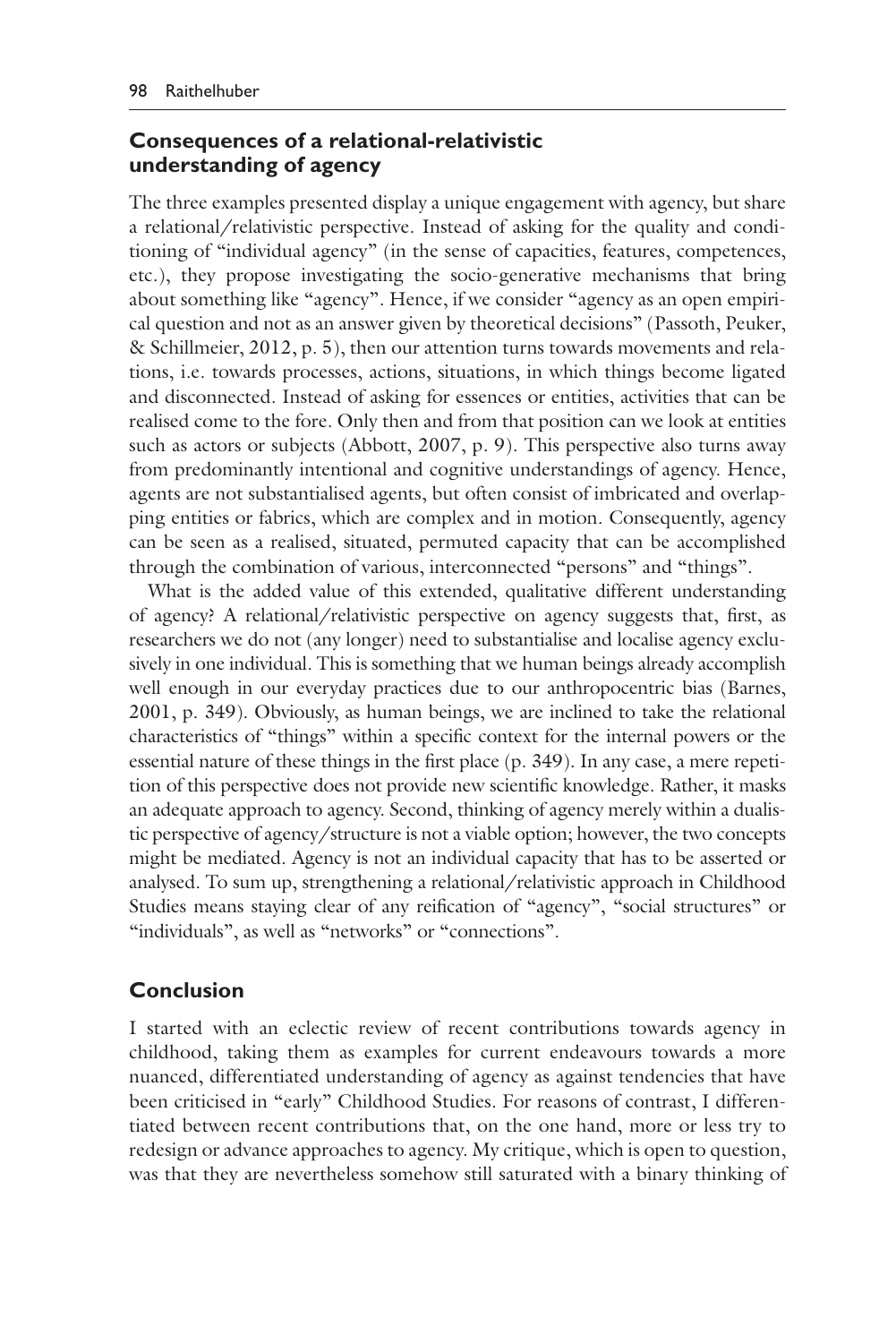#### **Consequences of a relational-relativistic understanding of agency**

The three examples presented display a unique engagement with agency, but share a relational/relativistic perspective. Instead of asking for the quality and conditioning of "individual agency" (in the sense of capacities, features, competences, etc.), they propose investigating the socio-generative mechanisms that bring about something like "agency". Hence, if we consider "agency as an open empirical question and not as an answer given by theoretical decisions" (Passoth, Peuker, & Schillmeier, 2012, p. 5), then our attention turns towards movements and relations, i.e. towards processes, actions, situations, in which things become ligated and disconnected. Instead of asking for essences or entities, activities that can be realised come to the fore. Only then and from that position can we look at entities such as actors or subjects (Abbott, 2007, p. 9). This perspective also turns away from predominantly intentional and cognitive understandings of agency. Hence, agents are not substantialised agents, but often consist of imbricated and overlapping entities or fabrics, which are complex and in motion. Consequently, agency can be seen as a realised, situated, permuted capacity that can be accomplished through the combination of various, interconnected "persons" and "things".

What is the added value of this extended, qualitative different understanding of agency? A relational/relativistic perspective on agency suggests that, first, as researchers we do not (any longer) need to substantialise and localise agency exclusively in one individual. This is something that we human beings already accomplish well enough in our everyday practices due to our anthropocentric bias (Barnes, 2001, p. 349). Obviously, as human beings, we are inclined to take the relational characteristics of "things" within a specific context for the internal powers or the essential nature of these things in the first place (p. 349). In any case, a mere repetition of this perspective does not provide new scientific knowledge. Rather, it masks an adequate approach to agency. Second, thinking of agency merely within a dualistic perspective of agency/structure is not a viable option; however, the two concepts might be mediated. Agency is not an individual capacity that has to be asserted or analysed. To sum up, strengthening a relational/relativistic approach in Childhood Studies means staying clear of any reification of "agency", "social structures" or "individuals", as well as "networks" or "connections".

#### **Conclusion**

I started with an eclectic review of recent contributions towards agency in childhood, taking them as examples for current endeavours towards a more nuanced, differentiated understanding of agency as against tendencies that have been criticised in "early" Childhood Studies. For reasons of contrast, I differentiated between recent contributions that, on the one hand, more or less try to redesign or advance approaches to agency. My critique, which is open to question, was that they are nevertheless somehow still saturated with a binary thinking of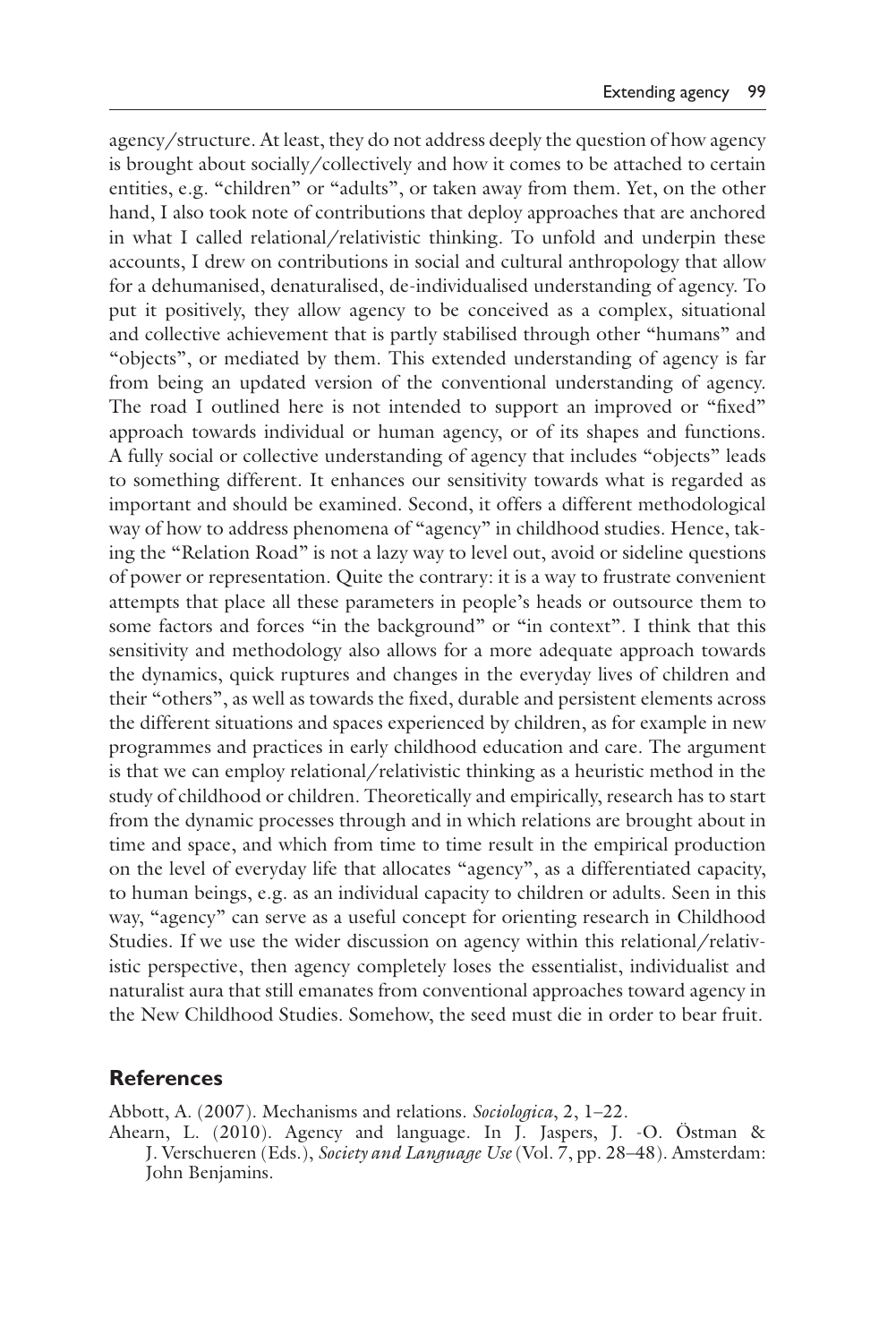agency/structure. At least, they do not address deeply the question of how agency is brought about socially/collectively and how it comes to be attached to certain entities, e.g. "children" or "adults", or taken away from them. Yet, on the other hand, I also took note of contributions that deploy approaches that are anchored in what I called relational/relativistic thinking. To unfold and underpin these accounts, I drew on contributions in social and cultural anthropology that allow for a dehumanised, denaturalised, de-individualised understanding of agency. To put it positively, they allow agency to be conceived as a complex, situational and collective achievement that is partly stabilised through other "humans" and "objects", or mediated by them. This extended understanding of agency is far from being an updated version of the conventional understanding of agency. The road I outlined here is not intended to support an improved or "fixed" approach towards individual or human agency, or of its shapes and functions. A fully social or collective understanding of agency that includes "objects" leads to something different. It enhances our sensitivity towards what is regarded as important and should be examined. Second, it offers a different methodological way of how to address phenomena of "agency" in childhood studies. Hence, taking the "Relation Road" is not a lazy way to level out, avoid or sideline questions of power or representation. Quite the contrary: it is a way to frustrate convenient attempts that place all these parameters in people's heads or outsource them to some factors and forces "in the background" or "in context". I think that this sensitivity and methodology also allows for a more adequate approach towards the dynamics, quick ruptures and changes in the everyday lives of children and their "others", as well as towards the fixed, durable and persistent elements across the different situations and spaces experienced by children, as for example in new programmes and practices in early childhood education and care. The argument is that we can employ relational/relativistic thinking as a heuristic method in the study of childhood or children. Theoretically and empirically, research has to start from the dynamic processes through and in which relations are brought about in time and space, and which from time to time result in the empirical production on the level of everyday life that allocates "agency", as a differentiated capacity, to human beings, e.g. as an individual capacity to children or adults. Seen in this way, "agency" can serve as a useful concept for orienting research in Childhood Studies. If we use the wider discussion on agency within this relational/relativistic perspective, then agency completely loses the essentialist, individualist and naturalist aura that still emanates from conventional approaches toward agency in the New Childhood Studies. Somehow, the seed must die in order to bear fruit.

#### **References**

Abbott, A. (2007). Mechanisms and relations. *Sociologica*, 2, 1–22.

Ahearn, L. (2010). Agency and language. In J. Jaspers, J. -O. Östman & J. Verschueren (Eds.), *Society and Language Use* (Vol. 7, pp. 28–48). Amsterdam: John Benjamins.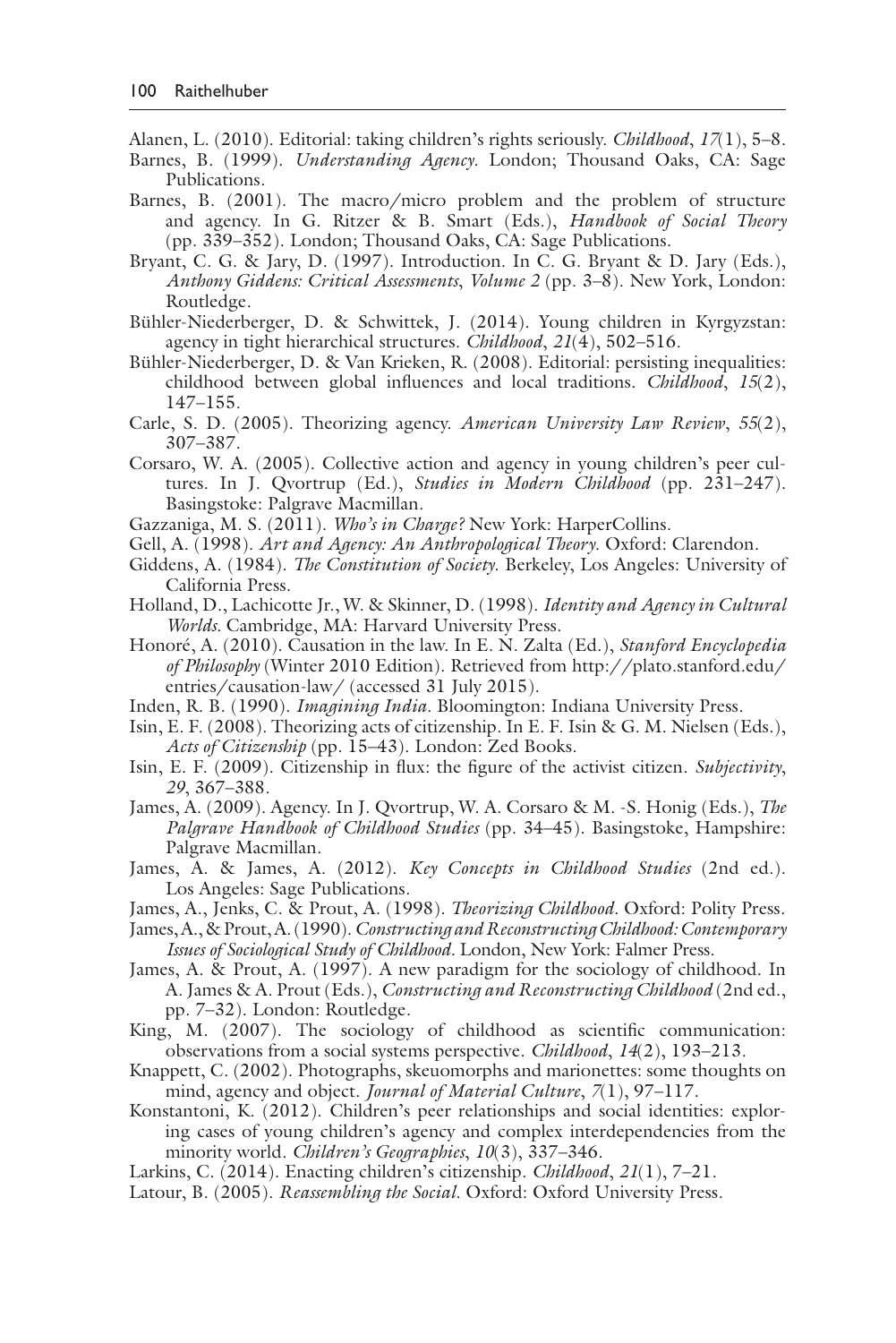Alanen, L. (2010). Editorial: taking children's rights seriously. *Childhood*, *17*(1), 5–8.

- Barnes, B. (1999). *Understanding Agency*. London; Thousand Oaks, CA: Sage Publications.
- Barnes, B. (2001). The macro/micro problem and the problem of structure and agency. In G. Ritzer & B. Smart (Eds.), *Handbook of Social Theory* (pp. 339–352). London; Thousand Oaks, CA: Sage Publications.
- Bryant, C. G. & Jary, D. (1997). Introduction. In C. G. Bryant & D. Jary (Eds.), *Anthony Giddens: Critical Assessments*, *Volume 2* (pp. 3–8). New York, London: Routledge.
- Bühler-Niederberger, D. & Schwittek, J. (2014). Young children in Kyrgyzstan: agency in tight hierarchical structures. *Childhood*, *21*(4), 502–516.
- Bühler-Niederberger, D. & Van Krieken, R. (2008). Editorial: persisting inequalities: childhood between global influences and local traditions. *Childhood*, *15*(2), 147–155.
- Carle, S. D. (2005). Theorizing agency. *American University Law Review*, *55*(2), 307–387.
- Corsaro, W. A. (2005). Collective action and agency in young children's peer cultures. In J. Qvortrup (Ed.), *Studies in Modern Childhood* (pp. 231–247). Basingstoke: Palgrave Macmillan.
- Gazzaniga, M. S. (2011). *Who's in Charge?* New York: HarperCollins.
- Gell, A. (1998). *Art and Agency: An Anthropological Theory*. Oxford: Clarendon.
- Giddens, A. (1984). *The Constitution of Society*. Berkeley, Los Angeles: University of California Press.
- Holland, D., Lachicotte Jr., W. & Skinner, D. (1998). *Identity and Agency in Cultural Worlds.* Cambridge, MA: Harvard University Press.
- Honoré, A. (2010). Causation in the law. In E. N. Zalta (Ed.), *Stanford Encyclopedia of Philosophy* (Winter 2010 Edition). Retrieved from [http://plato.stanford.edu/](http://plato.stanford.edu/entries/causation-law/) [entries/causation-law/](http://plato.stanford.edu/entries/causation-law/) (accessed 31 July 2015).
- Inden, R. B. (1990). *Imagining India*. Bloomington: Indiana University Press.
- Isin, E. F. (2008). Theorizing acts of citizenship. In E. F. Isin & G. M. Nielsen (Eds.), *Acts of Citizenship* (pp. 15–43). London: Zed Books.
- Isin, E. F. (2009). Citizenship in flux: the figure of the activist citizen. *Subjectivity*, *29*, 367–388.
- James, A. (2009). Agency. In J. Qvortrup, W. A. Corsaro & M. -S. Honig (Eds.), *The Palgrave Handbook of Childhood Studies* (pp. 34–45). Basingstoke, Hampshire: Palgrave Macmillan.
- James, A. & James, A. (2012). *Key Concepts in Childhood Studies* (2nd ed.). Los Angeles: Sage Publications.
- James, A., Jenks, C. & Prout, A. (1998). *Theorizing Childhood*. Oxford: Polity Press.
- James, A., & Prout, A. (1990). *Constructing and Reconstructing Childhood: Contemporary Issues of Sociological Study of Childhood.* London, New York: Falmer Press.
- James, A. & Prout, A. (1997). A new paradigm for the sociology of childhood. In A. James & A. Prout (Eds.), *Constructing and Reconstructing Childhood* (2nd ed., pp. 7–32). London: Routledge.
- King, M. (2007). The sociology of childhood as scientific communication: observations from a social systems perspective. *Childhood*, *14*(2), 193–213.
- Knappett, C. (2002). Photographs, skeuomorphs and marionettes: some thoughts on mind, agency and object. *Journal of Material Culture*, *7*(1), 97–117.
- Konstantoni, K. (2012). Children's peer relationships and social identities: exploring cases of young children's agency and complex interdependencies from the minority world. *Children's Geographies*, *10*(3), 337–346.
- Larkins, C. (2014). Enacting children's citizenship. *Childhood*, *21*(1), 7–21.
- Latour, B. (2005). *Reassembling the Social*. Oxford: Oxford University Press.